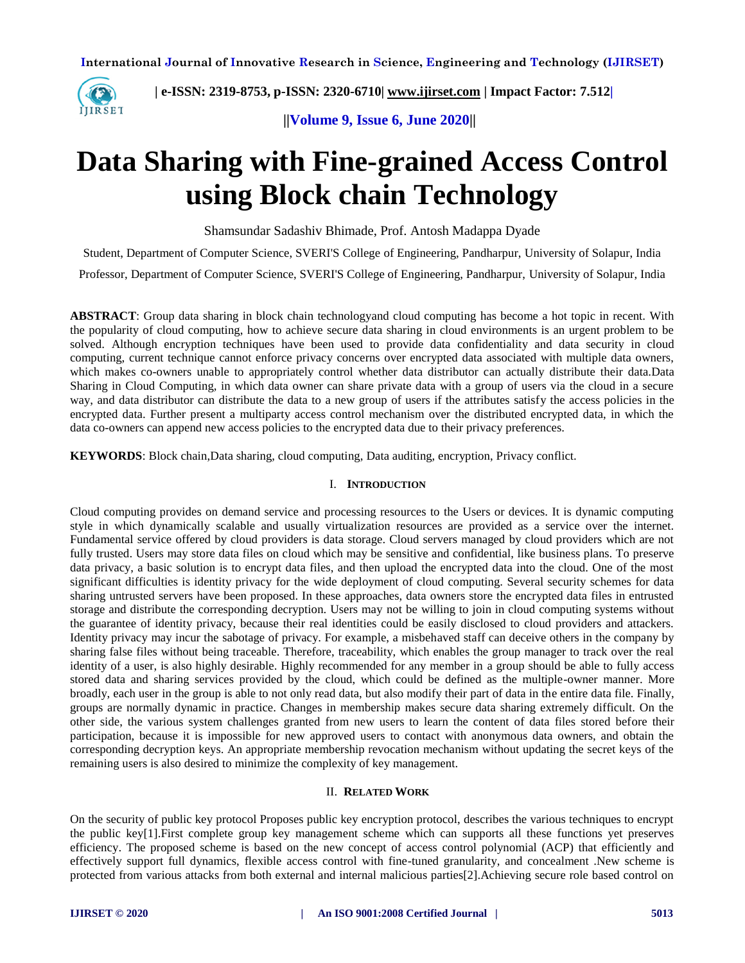**International Journal of Innovative Research in Science, Engineering and Technology (IJIRSET)**



 **| e-ISSN: 2319-8753, p-ISSN: 2320-6710| [www.ijirset.com](http://www.ijirset.com/) | Impact Factor: 7.512|**

 **||Volume 9, Issue 6, June 2020||** 

# **Data Sharing with Fine-grained Access Control using Block chain Technology**

Shamsundar Sadashiv Bhimade, Prof. Antosh Madappa Dyade

Student, Department of Computer Science, SVERI'S College of Engineering, Pandharpur, University of Solapur, India

Professor, Department of Computer Science, SVERI'S College of Engineering, Pandharpur, University of Solapur, India

**ABSTRACT**: Group data sharing in block chain technologyand cloud computing has become a hot topic in recent. With the popularity of cloud computing, how to achieve secure data sharing in cloud environments is an urgent problem to be solved. Although encryption techniques have been used to provide data confidentiality and data security in cloud computing, current technique cannot enforce privacy concerns over encrypted data associated with multiple data owners, which makes co-owners unable to appropriately control whether data distributor can actually distribute their data.Data Sharing in Cloud Computing, in which data owner can share private data with a group of users via the cloud in a secure way, and data distributor can distribute the data to a new group of users if the attributes satisfy the access policies in the encrypted data. Further present a multiparty access control mechanism over the distributed encrypted data, in which the data co-owners can append new access policies to the encrypted data due to their privacy preferences.

**KEYWORDS**: Block chain,Data sharing, cloud computing, Data auditing, encryption, Privacy conflict.

## I. **INTRODUCTION**

Cloud computing provides on demand service and processing resources to the Users or devices. It is dynamic computing style in which dynamically scalable and usually virtualization resources are provided as a service over the internet. Fundamental service offered by cloud providers is data storage. Cloud servers managed by cloud providers which are not fully trusted. Users may store data files on cloud which may be sensitive and confidential, like business plans. To preserve data privacy, a basic solution is to encrypt data files, and then upload the encrypted data into the cloud. One of the most significant difficulties is identity privacy for the wide deployment of cloud computing. Several security schemes for data sharing untrusted servers have been proposed. In these approaches, data owners store the encrypted data files in entrusted storage and distribute the corresponding decryption. Users may not be willing to join in cloud computing systems without the guarantee of identity privacy, because their real identities could be easily disclosed to cloud providers and attackers. Identity privacy may incur the sabotage of privacy. For example, a misbehaved staff can deceive others in the company by sharing false files without being traceable. Therefore, traceability, which enables the group manager to track over the real identity of a user, is also highly desirable. Highly recommended for any member in a group should be able to fully access stored data and sharing services provided by the cloud, which could be defined as the multiple-owner manner. More broadly, each user in the group is able to not only read data, but also modify their part of data in the entire data file. Finally, groups are normally dynamic in practice. Changes in membership makes secure data sharing extremely difficult. On the other side, the various system challenges granted from new users to learn the content of data files stored before their participation, because it is impossible for new approved users to contact with anonymous data owners, and obtain the corresponding decryption keys. An appropriate membership revocation mechanism without updating the secret keys of the remaining users is also desired to minimize the complexity of key management.

#### II. **RELATED WORK**

On the security of public key protocol Proposes public key encryption protocol, describes the various techniques to encrypt the public key[1].First complete group key management scheme which can supports all these functions yet preserves efficiency. The proposed scheme is based on the new concept of access control polynomial (ACP) that efficiently and effectively support full dynamics, flexible access control with fine-tuned granularity, and concealment .New scheme is protected from various attacks from both external and internal malicious parties[2].Achieving secure role based control on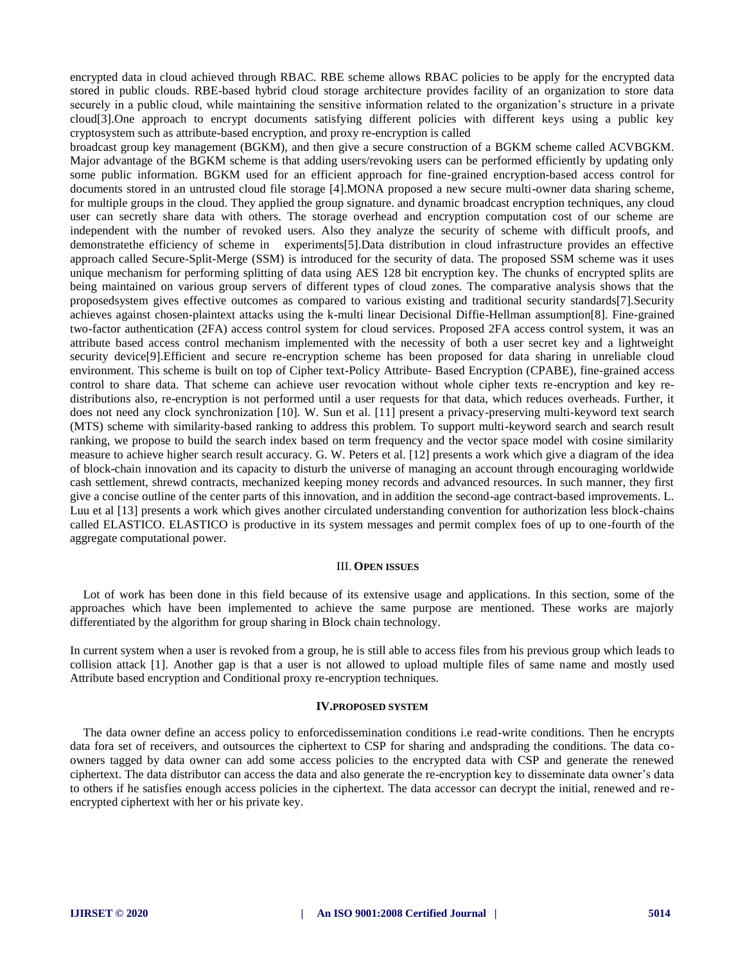encrypted data in cloud achieved through RBAC. RBE scheme allows RBAC policies to be apply for the encrypted data stored in public clouds. RBE-based hybrid cloud storage architecture provides facility of an organization to store data securely in a public cloud, while maintaining the sensitive information related to the organization's structure in a private cloud[3].One approach to encrypt documents satisfying different policies with different keys using a public key cryptosystem such as attribute-based encryption, and proxy re-encryption is called

broadcast group key management (BGKM), and then give a secure construction of a BGKM scheme called ACVBGKM. Major advantage of the BGKM scheme is that adding users/revoking users can be performed efficiently by updating only some public information. BGKM used for an efficient approach for fine-grained encryption-based access control for documents stored in an untrusted cloud file storage [4].MONA proposed a new secure multi-owner data sharing scheme, for multiple groups in the cloud. They applied the group signature. and dynamic broadcast encryption techniques, any cloud user can secretly share data with others. The storage overhead and encryption computation cost of our scheme are independent with the number of revoked users. Also they analyze the security of scheme with difficult proofs, and demonstratethe efficiency of scheme in experiments[5].Data distribution in cloud infrastructure provides an effective approach called Secure-Split-Merge (SSM) is introduced for the security of data. The proposed SSM scheme was it uses unique mechanism for performing splitting of data using AES 128 bit encryption key. The chunks of encrypted splits are being maintained on various group servers of different types of cloud zones. The comparative analysis shows that the proposedsystem gives effective outcomes as compared to various existing and traditional security standards[7].Security achieves against chosen-plaintext attacks using the k-multi linear Decisional Diffie-Hellman assumption[8]. Fine-grained two-factor authentication (2FA) access control system for cloud services. Proposed 2FA access control system, it was an attribute based access control mechanism implemented with the necessity of both a user secret key and a lightweight security device[9].Efficient and secure re-encryption scheme has been proposed for data sharing in unreliable cloud environment. This scheme is built on top of Cipher text-Policy Attribute- Based Encryption (CPABE), fine-grained access control to share data. That scheme can achieve user revocation without whole cipher texts re-encryption and key redistributions also, re-encryption is not performed until a user requests for that data, which reduces overheads. Further, it does not need any clock synchronization [10]. W. Sun et al. [11] present a privacy-preserving multi-keyword text search (MTS) scheme with similarity-based ranking to address this problem. To support multi-keyword search and search result ranking, we propose to build the search index based on term frequency and the vector space model with cosine similarity measure to achieve higher search result accuracy. G. W. Peters et al. [12] presents a work which give a diagram of the idea of block-chain innovation and its capacity to disturb the universe of managing an account through encouraging worldwide cash settlement, shrewd contracts, mechanized keeping money records and advanced resources. In such manner, they first give a concise outline of the center parts of this innovation, and in addition the second-age contract-based improvements. L. Luu et al [13] presents a work which gives another circulated understanding convention for authorization less block-chains called ELASTICO. ELASTICO is productive in its system messages and permit complex foes of up to one-fourth of the aggregate computational power.

#### III. **OPEN ISSUES**

Lot of work has been done in this field because of its extensive usage and applications. In this section, some of the approaches which have been implemented to achieve the same purpose are mentioned. These works are majorly differentiated by the algorithm for group sharing in Block chain technology.

In current system when a user is revoked from a group, he is still able to access files from his previous group which leads to collision attack [1]. Another gap is that a user is not allowed to upload multiple files of same name and mostly used Attribute based encryption and Conditional proxy re-encryption techniques.

#### **IV.PROPOSED SYSTEM**

The data owner define an access policy to enforcedissemination conditions i.e read-write conditions. Then he encrypts data fora set of receivers, and outsources the ciphertext to CSP for sharing and andsprading the conditions. The data coowners tagged by data owner can add some access policies to the encrypted data with CSP and generate the renewed ciphertext. The data distributor can access the data and also generate the re-encryption key to disseminate data owner's data to others if he satisfies enough access policies in the ciphertext. The data accessor can decrypt the initial, renewed and reencrypted ciphertext with her or his private key.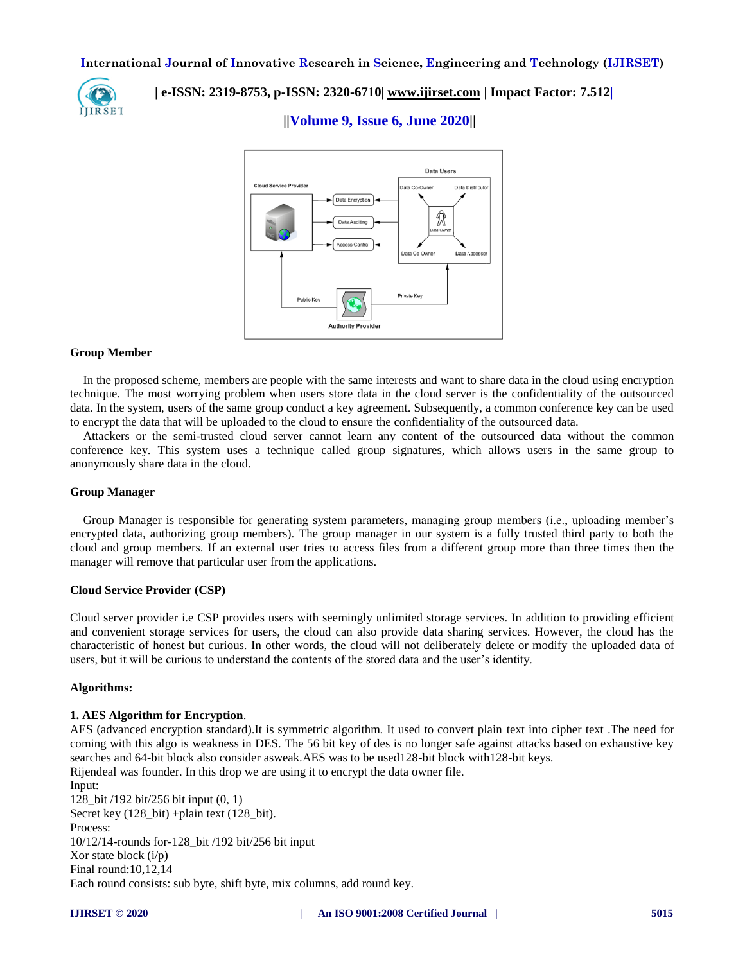## **International Journal of Innovative Research in Science, Engineering and Technology (IJIRSET)**



# **| e-ISSN: 2319-8753, p-ISSN: 2320-6710| [www.ijirset.com](http://www.ijirset.com/) | Impact Factor: 7.512|**

 **||Volume 9, Issue 6, June 2020||** 



#### **Group Member**

In the proposed scheme, members are people with the same interests and want to share data in the cloud using encryption technique. The most worrying problem when users store data in the cloud server is the confidentiality of the outsourced data. In the system, users of the same group conduct a key agreement. Subsequently, a common conference key can be used to encrypt the data that will be uploaded to the cloud to ensure the confidentiality of the outsourced data.

Attackers or the semi-trusted cloud server cannot learn any content of the outsourced data without the common conference key. This system uses a technique called group signatures, which allows users in the same group to anonymously share data in the cloud.

## **Group Manager**

Group Manager is responsible for generating system parameters, managing group members (i.e., uploading member's encrypted data, authorizing group members). The group manager in our system is a fully trusted third party to both the cloud and group members. If an external user tries to access files from a different group more than three times then the manager will remove that particular user from the applications.

#### **Cloud Service Provider (CSP)**

Cloud server provider i.e CSP provides users with seemingly unlimited storage services. In addition to providing efficient and convenient storage services for users, the cloud can also provide data sharing services. However, the cloud has the characteristic of honest but curious. In other words, the cloud will not deliberately delete or modify the uploaded data of users, but it will be curious to understand the contents of the stored data and the user's identity.

#### **Algorithms:**

#### **1. AES Algorithm for Encryption**.

AES (advanced encryption standard).It is symmetric algorithm. It used to convert plain text into cipher text .The need for coming with this algo is weakness in DES. The 56 bit key of des is no longer safe against attacks based on exhaustive key searches and 64-bit block also consider asweak.AES was to be used128-bit block with128-bit keys. Rijendeal was founder. In this drop we are using it to encrypt the data owner file. Input:

128\_bit /192 bit/256 bit input (0, 1) Secret key (128\_bit) +plain text (128\_bit). Process: 10/12/14-rounds for-128\_bit /192 bit/256 bit input Xor state block (i/p) Final round:10,12,14 Each round consists: sub byte, shift byte, mix columns, add round key.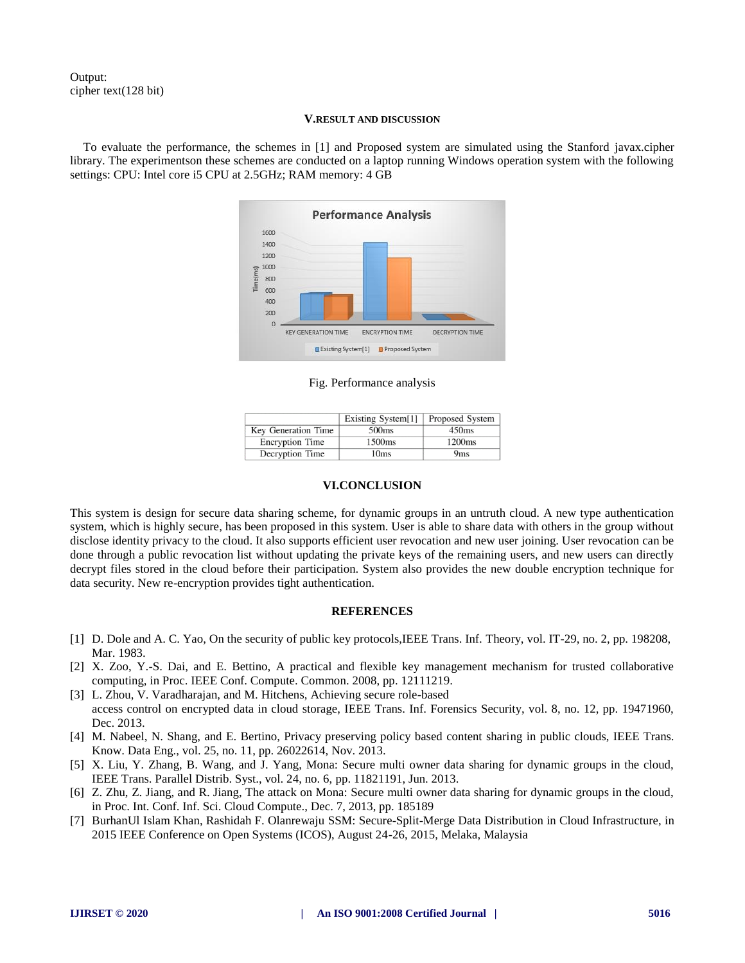Output: cipher text(128 bit)

#### **V.RESULT AND DISCUSSION**

To evaluate the performance, the schemes in [1] and Proposed system are simulated using the Stanford javax.cipher library. The experimentson these schemes are conducted on a laptop running Windows operation system with the following settings: CPU: Intel core i5 CPU at 2.5GHz; RAM memory: 4 GB



Fig. Performance analysis

|                     | Existing System[1] | Proposed System |
|---------------------|--------------------|-----------------|
| Key Generation Time | 500 <sub>ms</sub>  | 450ms           |
| Encryption Time     | 1500 <sub>ms</sub> | 1200ms          |
| Decryption Time     | 10ms               | 9ms             |

#### **VI.CONCLUSION**

This system is design for secure data sharing scheme, for dynamic groups in an untruth cloud. A new type authentication system, which is highly secure, has been proposed in this system. User is able to share data with others in the group without disclose identity privacy to the cloud. It also supports efficient user revocation and new user joining. User revocation can be done through a public revocation list without updating the private keys of the remaining users, and new users can directly decrypt files stored in the cloud before their participation. System also provides the new double encryption technique for data security. New re-encryption provides tight authentication.

#### **REFERENCES**

- [1] D. Dole and A. C. Yao, On the security of public key protocols,IEEE Trans. Inf. Theory, vol. IT-29, no. 2, pp. 198208, Mar. 1983.
- [2] X. Zoo, Y.-S. Dai, and E. Bettino, A practical and flexible key management mechanism for trusted collaborative computing, in Proc. IEEE Conf. Compute. Common. 2008, pp. 12111219.
- [3] L. Zhou, V. Varadharajan, and M. Hitchens, Achieving secure role-based access control on encrypted data in cloud storage, IEEE Trans. Inf. Forensics Security, vol. 8, no. 12, pp. 19471960, Dec. 2013.
- [4] M. Nabeel, N. Shang, and E. Bertino, Privacy preserving policy based content sharing in public clouds, IEEE Trans. Know. Data Eng., vol. 25, no. 11, pp. 26022614, Nov. 2013.
- [5] X. Liu, Y. Zhang, B. Wang, and J. Yang, Mona: Secure multi owner data sharing for dynamic groups in the cloud, IEEE Trans. Parallel Distrib. Syst., vol. 24, no. 6, pp. 11821191, Jun. 2013.
- [6] Z. Zhu, Z. Jiang, and R. Jiang, The attack on Mona: Secure multi owner data sharing for dynamic groups in the cloud, in Proc. Int. Conf. Inf. Sci. Cloud Compute., Dec. 7, 2013, pp. 185189
- [7] BurhanUl Islam Khan, Rashidah F. Olanrewaju SSM: Secure-Split-Merge Data Distribution in Cloud Infrastructure, in 2015 IEEE Conference on Open Systems (ICOS), August 24-26, 2015, Melaka, Malaysia